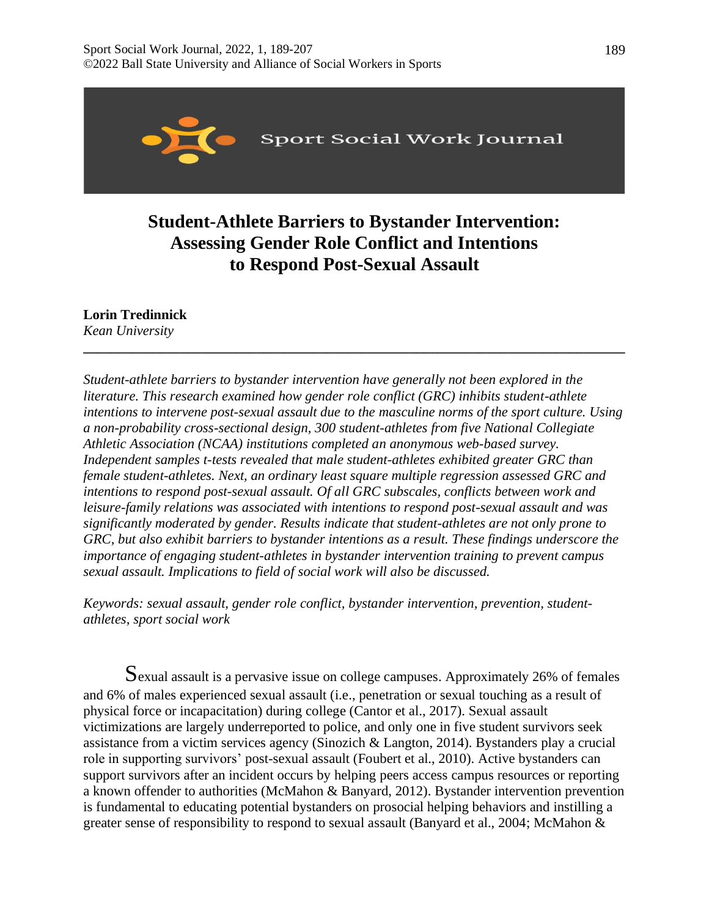

# **Student-Athlete Barriers to Bystander Intervention: Assessing Gender Role Conflict and Intentions to Respond Post-Sexual Assault**

**\_\_\_\_\_\_\_\_\_\_\_\_\_\_\_\_\_\_\_\_\_\_\_\_\_\_\_\_\_\_\_\_\_\_\_\_\_\_\_\_\_\_\_\_\_\_\_\_\_\_\_\_\_\_\_\_\_\_\_\_\_\_\_\_\_\_\_\_\_\_\_\_\_\_\_\_\_\_**

**Lorin Tredinnick** *Kean University* 

*Student-athlete barriers to bystander intervention have generally not been explored in the literature. This research examined how gender role conflict (GRC) inhibits student-athlete intentions to intervene post-sexual assault due to the masculine norms of the sport culture. Using a non-probability cross-sectional design, 300 student-athletes from five National Collegiate Athletic Association (NCAA) institutions completed an anonymous web-based survey. Independent samples t-tests revealed that male student-athletes exhibited greater GRC than female student-athletes. Next, an ordinary least square multiple regression assessed GRC and intentions to respond post-sexual assault. Of all GRC subscales, conflicts between work and leisure-family relations was associated with intentions to respond post-sexual assault and was significantly moderated by gender. Results indicate that student-athletes are not only prone to GRC, but also exhibit barriers to bystander intentions as a result. These findings underscore the importance of engaging student-athletes in bystander intervention training to prevent campus sexual assault. Implications to field of social work will also be discussed.* 

*Keywords: sexual assault, gender role conflict, bystander intervention, prevention, studentathletes, sport social work*

Sexual assault is a pervasive issue on college campuses. Approximately 26% of females and 6% of males experienced sexual assault (i.e., penetration or sexual touching as a result of physical force or incapacitation) during college (Cantor et al., 2017). Sexual assault victimizations are largely underreported to police, and only one in five student survivors seek assistance from a victim services agency (Sinozich & Langton, 2014). Bystanders play a crucial role in supporting survivors' post-sexual assault (Foubert et al., 2010). Active bystanders can support survivors after an incident occurs by helping peers access campus resources or reporting a known offender to authorities (McMahon & Banyard, 2012). Bystander intervention prevention is fundamental to educating potential bystanders on prosocial helping behaviors and instilling a greater sense of responsibility to respond to sexual assault (Banyard et al., 2004; McMahon &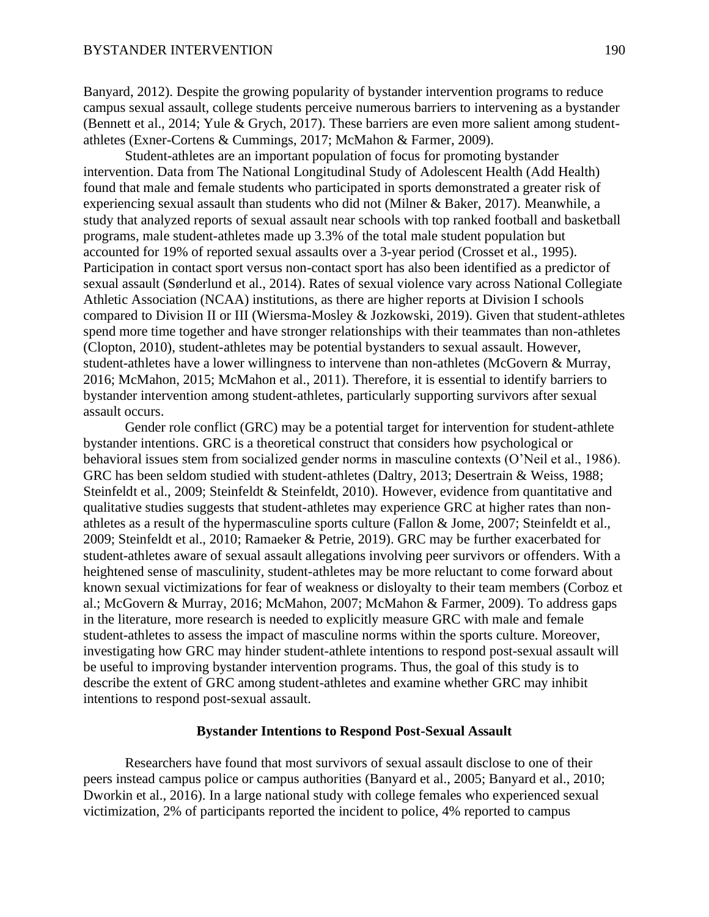Banyard, 2012). Despite the growing popularity of bystander intervention programs to reduce campus sexual assault, college students perceive numerous barriers to intervening as a bystander (Bennett et al., 2014; Yule & Grych, 2017). These barriers are even more salient among studentathletes (Exner-Cortens & Cummings, 2017; McMahon & Farmer, 2009).

Student-athletes are an important population of focus for promoting bystander intervention. Data from The National Longitudinal Study of Adolescent Health (Add Health) found that male and female students who participated in sports demonstrated a greater risk of experiencing sexual assault than students who did not (Milner & Baker, 2017). Meanwhile, a study that analyzed reports of sexual assault near schools with top ranked football and basketball programs, male student-athletes made up 3.3% of the total male student population but accounted for 19% of reported sexual assaults over a 3-year period (Crosset et al., 1995). Participation in contact sport versus non-contact sport has also been identified as a predictor of sexual assault (Sønderlund et al., 2014). Rates of sexual violence vary across National Collegiate Athletic Association (NCAA) institutions, as there are higher reports at Division I schools compared to Division II or III (Wiersma-Mosley & Jozkowski, 2019). Given that student-athletes spend more time together and have stronger relationships with their teammates than non-athletes (Clopton, 2010), student-athletes may be potential bystanders to sexual assault. However, student-athletes have a lower willingness to intervene than non-athletes (McGovern & Murray, 2016; McMahon, 2015; McMahon et al., 2011). Therefore, it is essential to identify barriers to bystander intervention among student-athletes, particularly supporting survivors after sexual assault occurs.

Gender role conflict (GRC) may be a potential target for intervention for student-athlete bystander intentions. GRC is a theoretical construct that considers how psychological or behavioral issues stem from socialized gender norms in masculine contexts (O'Neil et al., 1986). GRC has been seldom studied with student-athletes (Daltry, 2013; Desertrain & Weiss, 1988; Steinfeldt et al., 2009; Steinfeldt & Steinfeldt, 2010). However, evidence from quantitative and qualitative studies suggests that student-athletes may experience GRC at higher rates than nonathletes as a result of the hypermasculine sports culture (Fallon & Jome, 2007; Steinfeldt et al., 2009; Steinfeldt et al., 2010; Ramaeker & Petrie, 2019). GRC may be further exacerbated for student-athletes aware of sexual assault allegations involving peer survivors or offenders. With a heightened sense of masculinity, student-athletes may be more reluctant to come forward about known sexual victimizations for fear of weakness or disloyalty to their team members (Corboz et al.; McGovern & Murray, 2016; McMahon, 2007; McMahon & Farmer, 2009). To address gaps in the literature, more research is needed to explicitly measure GRC with male and female student-athletes to assess the impact of masculine norms within the sports culture. Moreover, investigating how GRC may hinder student-athlete intentions to respond post-sexual assault will be useful to improving bystander intervention programs. Thus, the goal of this study is to describe the extent of GRC among student-athletes and examine whether GRC may inhibit intentions to respond post-sexual assault.

## **Bystander Intentions to Respond Post-Sexual Assault**

Researchers have found that most survivors of sexual assault disclose to one of their peers instead campus police or campus authorities (Banyard et al., 2005; Banyard et al., 2010; Dworkin et al., 2016). In a large national study with college females who experienced sexual victimization, 2% of participants reported the incident to police, 4% reported to campus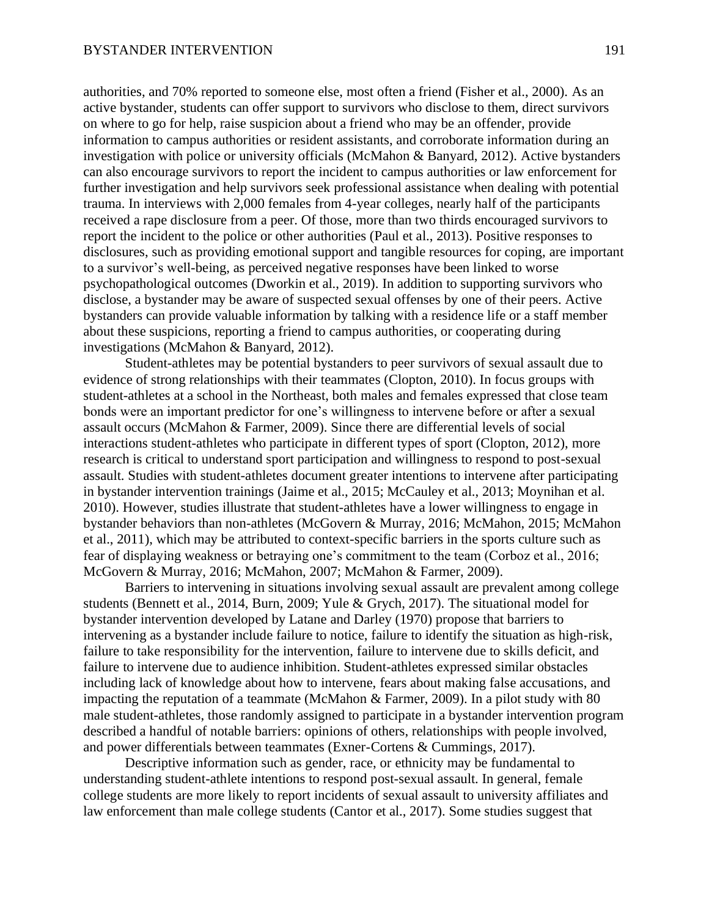authorities, and 70% reported to someone else, most often a friend (Fisher et al., 2000). As an active bystander, students can offer support to survivors who disclose to them, direct survivors on where to go for help, raise suspicion about a friend who may be an offender, provide information to campus authorities or resident assistants, and corroborate information during an investigation with police or university officials (McMahon & Banyard, 2012). Active bystanders can also encourage survivors to report the incident to campus authorities or law enforcement for further investigation and help survivors seek professional assistance when dealing with potential trauma. In interviews with 2,000 females from 4-year colleges, nearly half of the participants received a rape disclosure from a peer. Of those, more than two thirds encouraged survivors to report the incident to the police or other authorities (Paul et al., 2013). Positive responses to disclosures, such as providing emotional support and tangible resources for coping, are important to a survivor's well-being, as perceived negative responses have been linked to worse psychopathological outcomes (Dworkin et al., 2019). In addition to supporting survivors who disclose, a bystander may be aware of suspected sexual offenses by one of their peers. Active bystanders can provide valuable information by talking with a residence life or a staff member about these suspicions, reporting a friend to campus authorities, or cooperating during investigations (McMahon & Banyard, 2012).

Student-athletes may be potential bystanders to peer survivors of sexual assault due to evidence of strong relationships with their teammates (Clopton, 2010). In focus groups with student-athletes at a school in the Northeast, both males and females expressed that close team bonds were an important predictor for one's willingness to intervene before or after a sexual assault occurs (McMahon & Farmer, 2009). Since there are differential levels of social interactions student-athletes who participate in different types of sport (Clopton, 2012), more research is critical to understand sport participation and willingness to respond to post-sexual assault. Studies with student-athletes document greater intentions to intervene after participating in bystander intervention trainings (Jaime et al., 2015; McCauley et al., 2013; Moynihan et al. 2010). However, studies illustrate that student-athletes have a lower willingness to engage in bystander behaviors than non-athletes (McGovern & Murray, 2016; McMahon, 2015; McMahon et al., 2011), which may be attributed to context-specific barriers in the sports culture such as fear of displaying weakness or betraying one's commitment to the team (Corboz et al., 2016; McGovern & Murray, 2016; McMahon, 2007; McMahon & Farmer, 2009).

Barriers to intervening in situations involving sexual assault are prevalent among college students (Bennett et al., 2014, Burn, 2009; Yule & Grych, 2017). The situational model for bystander intervention developed by Latane and Darley (1970) propose that barriers to intervening as a bystander include failure to notice, failure to identify the situation as high-risk, failure to take responsibility for the intervention, failure to intervene due to skills deficit, and failure to intervene due to audience inhibition. Student-athletes expressed similar obstacles including lack of knowledge about how to intervene, fears about making false accusations, and impacting the reputation of a teammate (McMahon & Farmer, 2009). In a pilot study with 80 male student-athletes, those randomly assigned to participate in a bystander intervention program described a handful of notable barriers: opinions of others, relationships with people involved, and power differentials between teammates (Exner-Cortens & Cummings, 2017).

Descriptive information such as gender, race, or ethnicity may be fundamental to understanding student-athlete intentions to respond post-sexual assault. In general, female college students are more likely to report incidents of sexual assault to university affiliates and law enforcement than male college students (Cantor et al., 2017). Some studies suggest that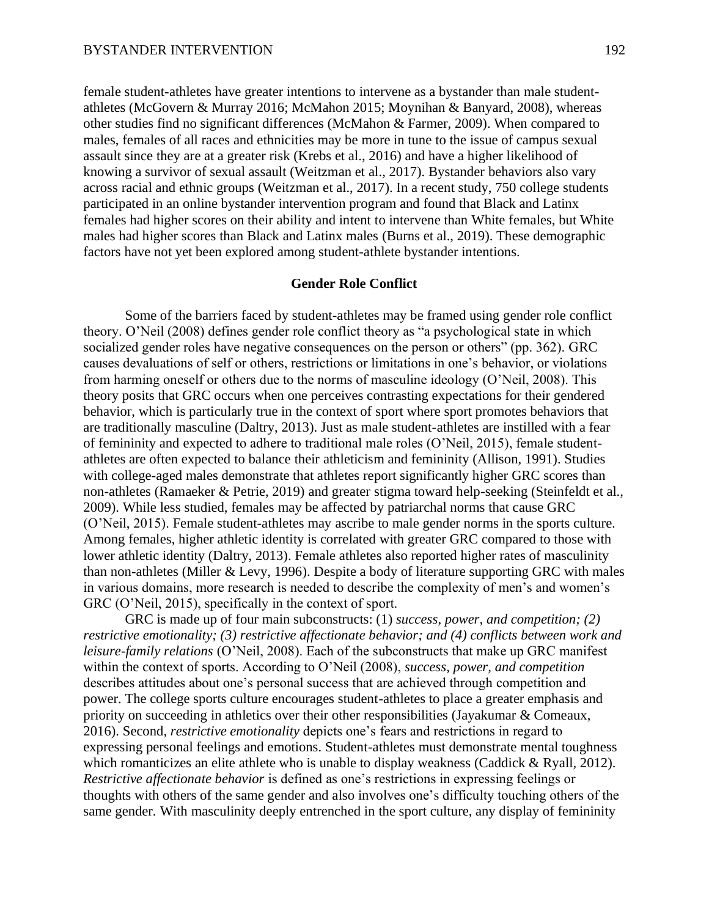female student-athletes have greater intentions to intervene as a bystander than male studentathletes (McGovern & Murray 2016; McMahon 2015; Moynihan & Banyard, 2008), whereas other studies find no significant differences (McMahon & Farmer, 2009). When compared to males, females of all races and ethnicities may be more in tune to the issue of campus sexual assault since they are at a greater risk (Krebs et al., 2016) and have a higher likelihood of knowing a survivor of sexual assault (Weitzman et al., 2017). Bystander behaviors also vary across racial and ethnic groups (Weitzman et al., 2017). In a recent study, 750 college students participated in an online bystander intervention program and found that Black and Latinx females had higher scores on their ability and intent to intervene than White females, but White males had higher scores than Black and Latinx males (Burns et al., 2019). These demographic factors have not yet been explored among student-athlete bystander intentions.

## **Gender Role Conflict**

Some of the barriers faced by student-athletes may be framed using gender role conflict theory. O'Neil (2008) defines gender role conflict theory as "a psychological state in which socialized gender roles have negative consequences on the person or others" (pp. 362). GRC causes devaluations of self or others, restrictions or limitations in one's behavior, or violations from harming oneself or others due to the norms of masculine ideology (O'Neil, 2008). This theory posits that GRC occurs when one perceives contrasting expectations for their gendered behavior, which is particularly true in the context of sport where sport promotes behaviors that are traditionally masculine (Daltry, 2013). Just as male student-athletes are instilled with a fear of femininity and expected to adhere to traditional male roles (O'Neil, 2015), female studentathletes are often expected to balance their athleticism and femininity (Allison, 1991). Studies with college-aged males demonstrate that athletes report significantly higher GRC scores than non-athletes (Ramaeker & Petrie, 2019) and greater stigma toward help-seeking (Steinfeldt et al., 2009). While less studied, females may be affected by patriarchal norms that cause GRC (O'Neil, 2015). Female student-athletes may ascribe to male gender norms in the sports culture. Among females, higher athletic identity is correlated with greater GRC compared to those with lower athletic identity (Daltry, 2013). Female athletes also reported higher rates of masculinity than non-athletes (Miller & Levy, 1996). Despite a body of literature supporting GRC with males in various domains, more research is needed to describe the complexity of men's and women's GRC (O'Neil, 2015), specifically in the context of sport.

GRC is made up of four main subconstructs: (1) *success, power, and competition; (2) restrictive emotionality; (3) restrictive affectionate behavior; and (4) conflicts between work and leisure-family relations* (O'Neil, 2008). Each of the subconstructs that make up GRC manifest within the context of sports. According to O'Neil (2008), *success, power, and competition* describes attitudes about one's personal success that are achieved through competition and power. The college sports culture encourages student-athletes to place a greater emphasis and priority on succeeding in athletics over their other responsibilities (Jayakumar & Comeaux, 2016). Second, *restrictive emotionality* depicts one's fears and restrictions in regard to expressing personal feelings and emotions. Student-athletes must demonstrate mental toughness which romanticizes an elite athlete who is unable to display weakness (Caddick & Ryall, 2012). *Restrictive affectionate behavior* is defined as one's restrictions in expressing feelings or thoughts with others of the same gender and also involves one's difficulty touching others of the same gender. With masculinity deeply entrenched in the sport culture, any display of femininity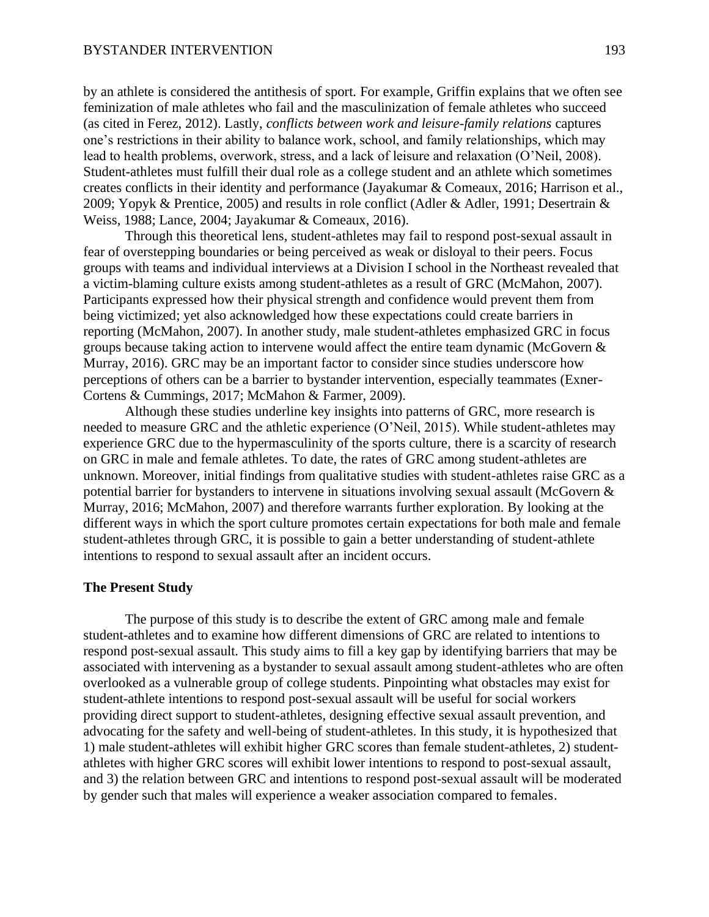by an athlete is considered the antithesis of sport. For example, Griffin explains that we often see feminization of male athletes who fail and the masculinization of female athletes who succeed (as cited in Ferez, 2012). Lastly, *conflicts between work and leisure-family relations* captures one's restrictions in their ability to balance work, school, and family relationships, which may lead to health problems, overwork, stress, and a lack of leisure and relaxation (O'Neil, 2008). Student-athletes must fulfill their dual role as a college student and an athlete which sometimes creates conflicts in their identity and performance (Jayakumar & Comeaux, 2016; Harrison et al., 2009; Yopyk & Prentice, 2005) and results in role conflict (Adler & Adler, 1991; Desertrain & Weiss, 1988; Lance, 2004; Jayakumar & Comeaux, 2016).

Through this theoretical lens, student-athletes may fail to respond post-sexual assault in fear of overstepping boundaries or being perceived as weak or disloyal to their peers. Focus groups with teams and individual interviews at a Division I school in the Northeast revealed that a victim-blaming culture exists among student-athletes as a result of GRC (McMahon, 2007). Participants expressed how their physical strength and confidence would prevent them from being victimized; yet also acknowledged how these expectations could create barriers in reporting (McMahon, 2007). In another study, male student-athletes emphasized GRC in focus groups because taking action to intervene would affect the entire team dynamic (McGovern & Murray, 2016). GRC may be an important factor to consider since studies underscore how perceptions of others can be a barrier to bystander intervention, especially teammates (Exner-Cortens & Cummings, 2017; McMahon & Farmer, 2009).

Although these studies underline key insights into patterns of GRC, more research is needed to measure GRC and the athletic experience (O'Neil, 2015). While student-athletes may experience GRC due to the hypermasculinity of the sports culture, there is a scarcity of research on GRC in male and female athletes. To date, the rates of GRC among student-athletes are unknown. Moreover, initial findings from qualitative studies with student-athletes raise GRC as a potential barrier for bystanders to intervene in situations involving sexual assault (McGovern & Murray, 2016; McMahon, 2007) and therefore warrants further exploration. By looking at the different ways in which the sport culture promotes certain expectations for both male and female student-athletes through GRC, it is possible to gain a better understanding of student-athlete intentions to respond to sexual assault after an incident occurs.

## **The Present Study**

The purpose of this study is to describe the extent of GRC among male and female student-athletes and to examine how different dimensions of GRC are related to intentions to respond post-sexual assault. This study aims to fill a key gap by identifying barriers that may be associated with intervening as a bystander to sexual assault among student-athletes who are often overlooked as a vulnerable group of college students. Pinpointing what obstacles may exist for student-athlete intentions to respond post-sexual assault will be useful for social workers providing direct support to student-athletes, designing effective sexual assault prevention, and advocating for the safety and well-being of student-athletes. In this study, it is hypothesized that 1) male student-athletes will exhibit higher GRC scores than female student-athletes, 2) studentathletes with higher GRC scores will exhibit lower intentions to respond to post-sexual assault, and 3) the relation between GRC and intentions to respond post-sexual assault will be moderated by gender such that males will experience a weaker association compared to females.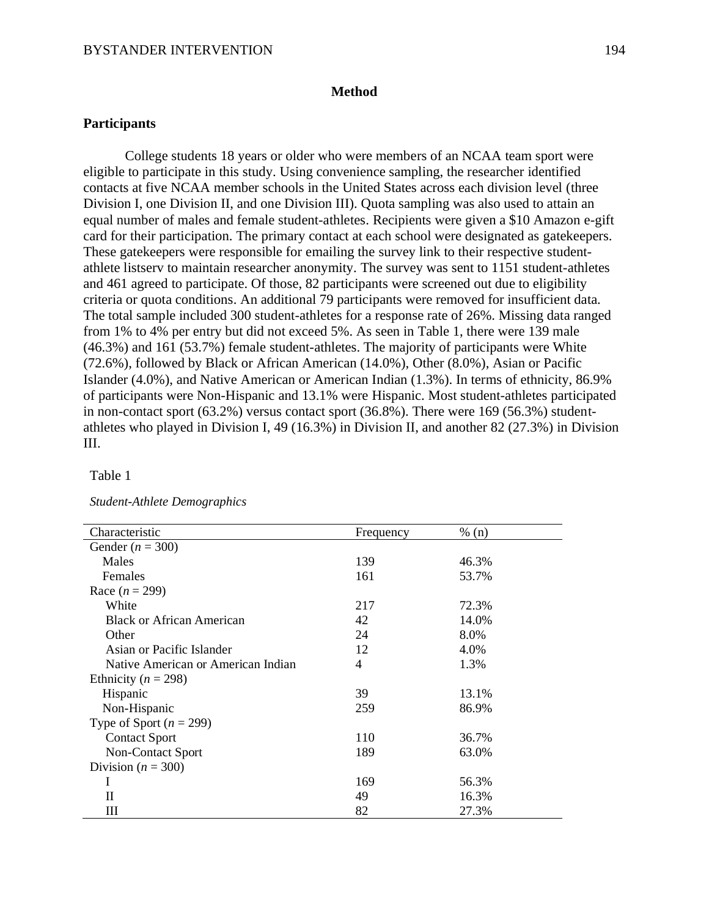## **Method**

# **Participants**

College students 18 years or older who were members of an NCAA team sport were eligible to participate in this study. Using convenience sampling, the researcher identified contacts at five NCAA member schools in the United States across each division level (three Division I, one Division II, and one Division III). Quota sampling was also used to attain an equal number of males and female student-athletes. Recipients were given a \$10 Amazon e-gift card for their participation. The primary contact at each school were designated as gatekeepers. These gatekeepers were responsible for emailing the survey link to their respective studentathlete listserv to maintain researcher anonymity. The survey was sent to 1151 student-athletes and 461 agreed to participate. Of those, 82 participants were screened out due to eligibility criteria or quota conditions. An additional 79 participants were removed for insufficient data. The total sample included 300 student-athletes for a response rate of 26%. Missing data ranged from 1% to 4% per entry but did not exceed 5%. As seen in Table 1, there were 139 male (46.3%) and 161 (53.7%) female student-athletes. The majority of participants were White (72.6%), followed by Black or African American (14.0%), Other (8.0%), Asian or Pacific Islander (4.0%), and Native American or American Indian (1.3%). In terms of ethnicity, 86.9% of participants were Non-Hispanic and 13.1% were Hispanic. Most student-athletes participated in non-contact sport (63.2%) versus contact sport (36.8%). There were 169 (56.3%) studentathletes who played in Division I, 49 (16.3%) in Division II, and another 82 (27.3%) in Division III.

## Table 1

| Characteristic                     | Frequency | % (n) |
|------------------------------------|-----------|-------|
| Gender ( $n = 300$ )               |           |       |
| Males                              | 139       | 46.3% |
| <b>Females</b>                     | 161       | 53.7% |
| Race $(n = 299)$                   |           |       |
| White                              | 217       | 72.3% |
| <b>Black or African American</b>   | 42        | 14.0% |
| Other                              | 24        | 8.0%  |
| Asian or Pacific Islander          | 12        | 4.0%  |
| Native American or American Indian | 4         | 1.3%  |
| Ethnicity ( $n = 298$ )            |           |       |
| Hispanic                           | 39        | 13.1% |
| Non-Hispanic                       | 259       | 86.9% |
| Type of Sport ( $n = 299$ )        |           |       |
| <b>Contact Sport</b>               | 110       | 36.7% |
| Non-Contact Sport                  | 189       | 63.0% |
| Division ( $n = 300$ )             |           |       |
|                                    | 169       | 56.3% |
| П                                  | 49        | 16.3% |
| Ш                                  | 82        | 27.3% |

#### *Student-Athlete Demographics*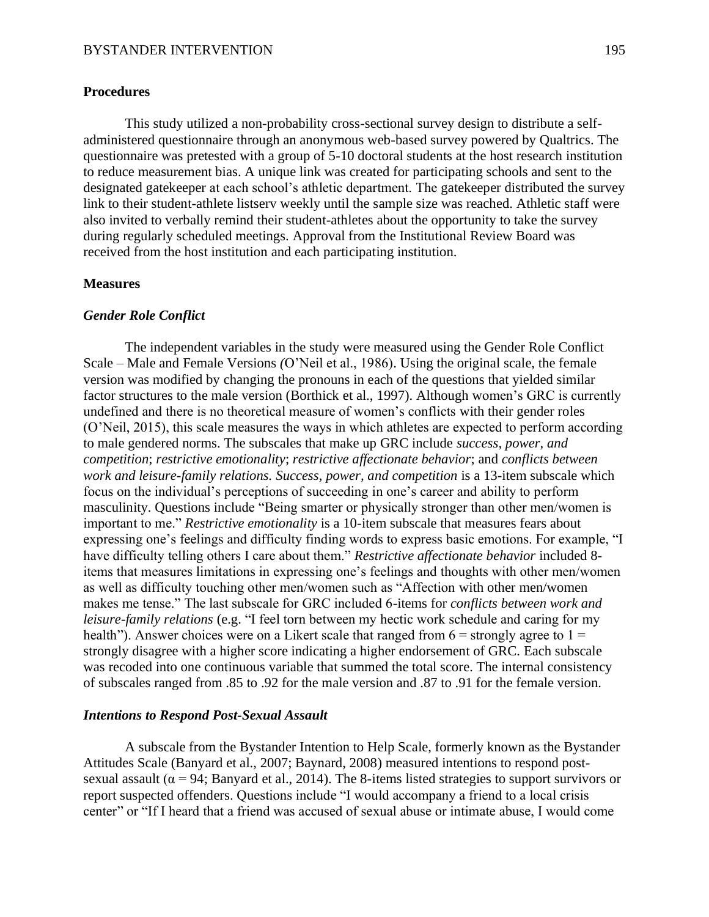## **Procedures**

This study utilized a non-probability cross-sectional survey design to distribute a selfadministered questionnaire through an anonymous web-based survey powered by Qualtrics. The questionnaire was pretested with a group of 5-10 doctoral students at the host research institution to reduce measurement bias. A unique link was created for participating schools and sent to the designated gatekeeper at each school's athletic department. The gatekeeper distributed the survey link to their student-athlete listserv weekly until the sample size was reached. Athletic staff were also invited to verbally remind their student-athletes about the opportunity to take the survey during regularly scheduled meetings. Approval from the Institutional Review Board was received from the host institution and each participating institution.

## **Measures**

# *Gender Role Conflict*

The independent variables in the study were measured using the Gender Role Conflict Scale – Male and Female Versions *(*O'Neil et al., 1986). Using the original scale, the female version was modified by changing the pronouns in each of the questions that yielded similar factor structures to the male version (Borthick et al., 1997). Although women's GRC is currently undefined and there is no theoretical measure of women's conflicts with their gender roles (O'Neil, 2015), this scale measures the ways in which athletes are expected to perform according to male gendered norms. The subscales that make up GRC include *success, power, and competition*; *restrictive emotionality*; *restrictive affectionate behavior*; and *conflicts between work and leisure-family relations. Success, power, and competition* is a 13-item subscale which focus on the individual's perceptions of succeeding in one's career and ability to perform masculinity. Questions include "Being smarter or physically stronger than other men/women is important to me." *Restrictive emotionality* is a 10-item subscale that measures fears about expressing one's feelings and difficulty finding words to express basic emotions. For example, "I have difficulty telling others I care about them." *Restrictive affectionate behavior* included 8 items that measures limitations in expressing one's feelings and thoughts with other men/women as well as difficulty touching other men/women such as "Affection with other men/women makes me tense." The last subscale for GRC included 6-items for *conflicts between work and leisure-family relations* (e.g. "I feel torn between my hectic work schedule and caring for my health"). Answer choices were on a Likert scale that ranged from  $6 =$  strongly agree to  $1 =$ strongly disagree with a higher score indicating a higher endorsement of GRC. Each subscale was recoded into one continuous variable that summed the total score. The internal consistency of subscales ranged from .85 to .92 for the male version and .87 to .91 for the female version.

#### *Intentions to Respond Post-Sexual Assault*

A subscale from the Bystander Intention to Help Scale, formerly known as the Bystander Attitudes Scale (Banyard et al., 2007; Baynard, 2008) measured intentions to respond postsexual assault ( $\alpha$  = 94; Banyard et al., 2014). The 8-items listed strategies to support survivors or report suspected offenders. Questions include "I would accompany a friend to a local crisis center" or "If I heard that a friend was accused of sexual abuse or intimate abuse, I would come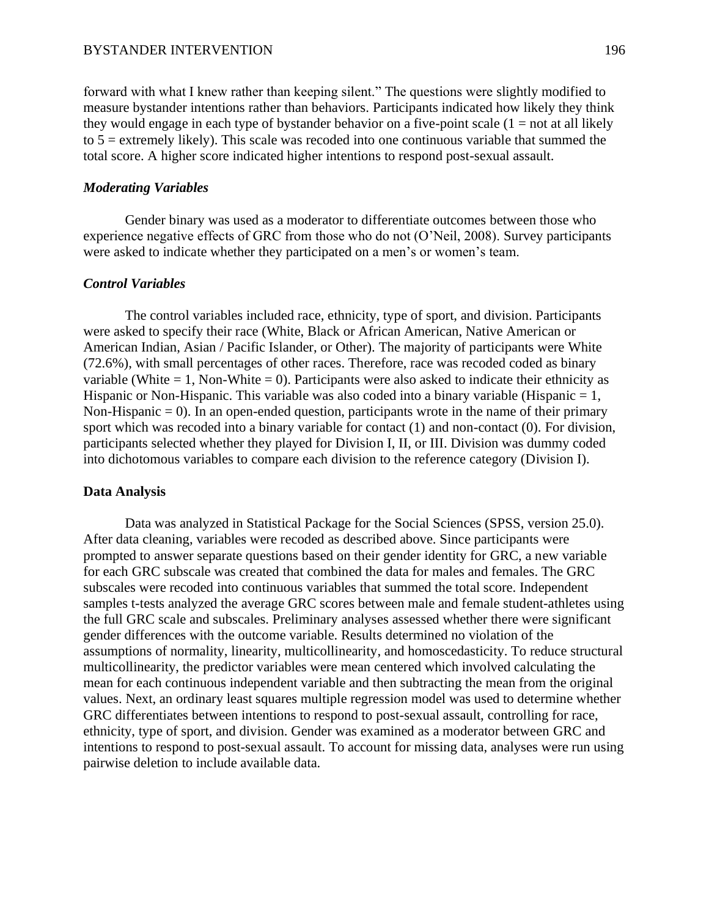forward with what I knew rather than keeping silent." The questions were slightly modified to measure bystander intentions rather than behaviors. Participants indicated how likely they think they would engage in each type of bystander behavior on a five-point scale  $(1 = not at all likely$ to 5 = extremely likely). This scale was recoded into one continuous variable that summed the total score. A higher score indicated higher intentions to respond post-sexual assault.

## *Moderating Variables*

Gender binary was used as a moderator to differentiate outcomes between those who experience negative effects of GRC from those who do not (O'Neil, 2008). Survey participants were asked to indicate whether they participated on a men's or women's team.

## *Control Variables*

The control variables included race, ethnicity, type of sport, and division. Participants were asked to specify their race (White, Black or African American, Native American or American Indian, Asian / Pacific Islander, or Other). The majority of participants were White (72.6%), with small percentages of other races. Therefore, race was recoded coded as binary variable (White  $= 1$ , Non-White  $= 0$ ). Participants were also asked to indicate their ethnicity as Hispanic or Non-Hispanic. This variable was also coded into a binary variable (Hispanic  $= 1$ , Non-Hispanic  $= 0$ ). In an open-ended question, participants wrote in the name of their primary sport which was recoded into a binary variable for contact (1) and non-contact (0). For division, participants selected whether they played for Division I, II, or III. Division was dummy coded into dichotomous variables to compare each division to the reference category (Division I).

## **Data Analysis**

Data was analyzed in Statistical Package for the Social Sciences (SPSS, version 25.0). After data cleaning, variables were recoded as described above. Since participants were prompted to answer separate questions based on their gender identity for GRC, a new variable for each GRC subscale was created that combined the data for males and females. The GRC subscales were recoded into continuous variables that summed the total score. Independent samples t-tests analyzed the average GRC scores between male and female student-athletes using the full GRC scale and subscales. Preliminary analyses assessed whether there were significant gender differences with the outcome variable. Results determined no violation of the assumptions of normality, linearity, multicollinearity, and homoscedasticity. To reduce structural multicollinearity, the predictor variables were mean centered which involved calculating the mean for each continuous independent variable and then subtracting the mean from the original values. Next, an ordinary least squares multiple regression model was used to determine whether GRC differentiates between intentions to respond to post-sexual assault, controlling for race, ethnicity, type of sport, and division. Gender was examined as a moderator between GRC and intentions to respond to post-sexual assault. To account for missing data, analyses were run using pairwise deletion to include available data.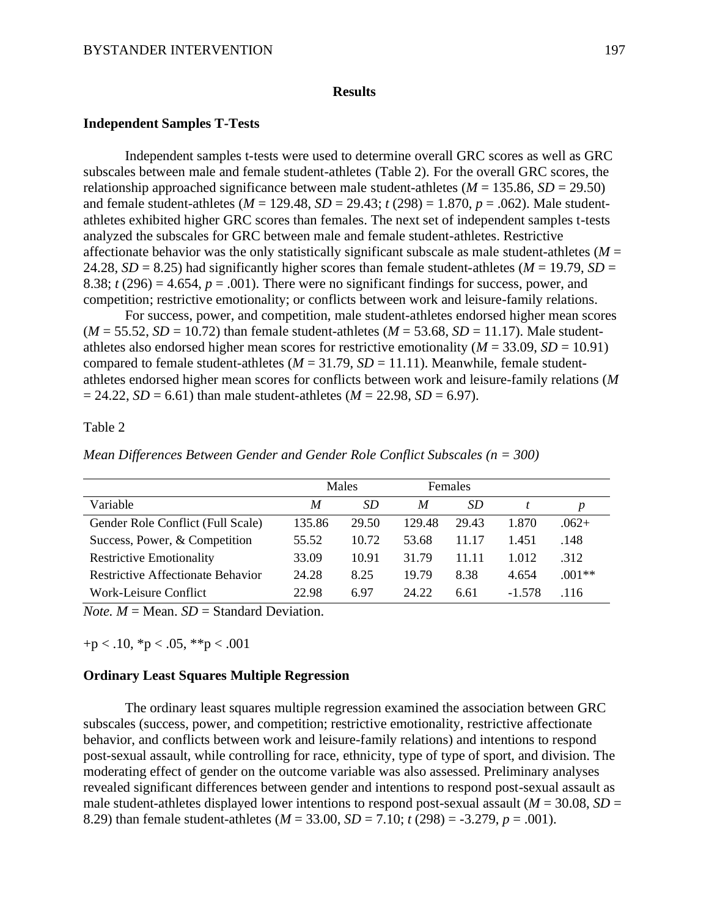## **Results**

## **Independent Samples T-Tests**

Independent samples t-tests were used to determine overall GRC scores as well as GRC subscales between male and female student-athletes (Table 2). For the overall GRC scores, the relationship approached significance between male student-athletes  $(M = 135.86, SD = 29.50)$ and female student-athletes (*M* = 129.48, *SD* = 29.43; *t* (298) = 1.870, *p* = .062). Male studentathletes exhibited higher GRC scores than females. The next set of independent samples t-tests analyzed the subscales for GRC between male and female student-athletes. Restrictive affectionate behavior was the only statistically significant subscale as male student-athletes ( $M =$ 24.28,  $SD = 8.25$ ) had significantly higher scores than female student-athletes ( $M = 19.79$ ,  $SD =$ 8.38;  $t(296) = 4.654$ ,  $p = .001$ ). There were no significant findings for success, power, and competition; restrictive emotionality; or conflicts between work and leisure-family relations.

For success, power, and competition, male student-athletes endorsed higher mean scores  $(M = 55.52, SD = 10.72)$  than female student-athletes  $(M = 53.68, SD = 11.17)$ . Male studentathletes also endorsed higher mean scores for restrictive emotionality ( $M = 33.09$ ,  $SD = 10.91$ ) compared to female student-athletes  $(M = 31.79, SD = 11.11)$ . Meanwhile, female studentathletes endorsed higher mean scores for conflicts between work and leisure-family relations (*M*  $= 24.22$ , *SD* = 6.61) than male student-athletes (*M* = 22.98, *SD* = 6.97).

# Table 2

*Mean Differences Between Gender and Gender Role Conflict Subscales (n = 300)*

|                                          | Males  |       | <b>Females</b> |       |          |          |
|------------------------------------------|--------|-------|----------------|-------|----------|----------|
| Variable                                 | M      | SD    | M              | SD.   |          | D        |
| Gender Role Conflict (Full Scale)        | 135.86 | 29.50 | 129.48         | 29.43 | 1.870    | $.062+$  |
| Success, Power, & Competition            | 55.52  | 10.72 | 53.68          | 11 17 | 1.451    | .148     |
| <b>Restrictive Emotionality</b>          | 33.09  | 10.91 | 31.79          | 11 11 | 1.012    | .312     |
| <b>Restrictive Affectionate Behavior</b> | 24.28  | 8.25  | 19.79          | 8.38  | 4.654    | $.001**$ |
| Work-Leisure Conflict                    | 22.98  | 6.97  | 24.22          | 6.61  | $-1.578$ | .116     |

*Note.*  $M = \text{Mean}$ .  $SD = \text{Standard Deviation}$ .

 $+p < .10, *p < .05, *p < .001$ 

### **Ordinary Least Squares Multiple Regression**

The ordinary least squares multiple regression examined the association between GRC subscales (success, power, and competition; restrictive emotionality, restrictive affectionate behavior, and conflicts between work and leisure-family relations) and intentions to respond post-sexual assault, while controlling for race, ethnicity, type of type of sport, and division. The moderating effect of gender on the outcome variable was also assessed. Preliminary analyses revealed significant differences between gender and intentions to respond post-sexual assault as male student-athletes displayed lower intentions to respond post-sexual assault ( $M = 30.08$ ,  $SD =$ 8.29) than female student-athletes (*M* = 33.00, *SD* = 7.10; *t* (298) = -3.279, *p* = .001).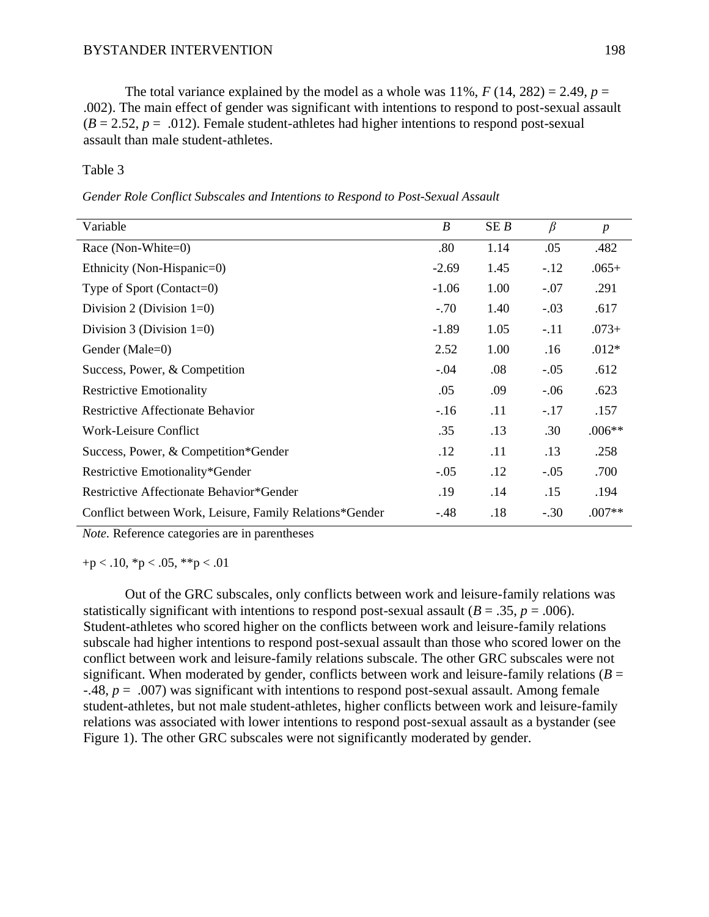The total variance explained by the model as a whole was  $11\%$ ,  $F(14, 282) = 2.49$ ,  $p =$ .002). The main effect of gender was significant with intentions to respond to post-sexual assault  $(B = 2.52, p = .012)$ . Female student-athletes had higher intentions to respond post-sexual assault than male student-athletes.

#### Table 3

*Gender Role Conflict Subscales and Intentions to Respond to Post-Sexual Assault*

| Variable                                                | $\boldsymbol{B}$ | SEB  | $\beta$ | $\boldsymbol{p}$ |
|---------------------------------------------------------|------------------|------|---------|------------------|
| Race (Non-White=0)                                      | .80              | 1.14 | .05     | .482             |
| Ethnicity (Non-Hispanic=0)                              | $-2.69$          | 1.45 | $-.12$  | $.065+$          |
| Type of Sport (Contact=0)                               | $-1.06$          | 1.00 | $-.07$  | .291             |
| Division 2 (Division $1=0$ )                            | $-.70$           | 1.40 | $-.03$  | .617             |
| Division 3 (Division $1=0$ )                            | $-1.89$          | 1.05 | $-.11$  | $.073+$          |
| Gender (Male=0)                                         | 2.52             | 1.00 | .16     | $.012*$          |
| Success, Power, & Competition                           | $-.04$           | .08  | $-.05$  | .612             |
| <b>Restrictive Emotionality</b>                         | .05              | .09  | $-.06$  | .623             |
| <b>Restrictive Affectionate Behavior</b>                | $-.16$           | .11  | $-.17$  | .157             |
| Work-Leisure Conflict                                   | .35              | .13  | .30     | $.006**$         |
| Success, Power, & Competition*Gender                    | .12              | .11  | .13     | .258             |
| Restrictive Emotionality*Gender                         | $-.05$           | .12  | $-.05$  | .700             |
| Restrictive Affectionate Behavior*Gender                | .19              | .14  | .15     | .194             |
| Conflict between Work, Leisure, Family Relations*Gender | $-.48$           | .18  | $-.30$  | $.007**$         |

*Note.* Reference categories are in parentheses

 $+p < .10$ , \*p  $< .05$ , \*\*p  $< .01$ 

Out of the GRC subscales, only conflicts between work and leisure-family relations was statistically significant with intentions to respond post-sexual assault ( $B = .35$ ,  $p = .006$ ). Student-athletes who scored higher on the conflicts between work and leisure-family relations subscale had higher intentions to respond post-sexual assault than those who scored lower on the conflict between work and leisure-family relations subscale. The other GRC subscales were not significant. When moderated by gender, conflicts between work and leisure-family relations  $(B =$ -.48, *p* = .007) was significant with intentions to respond post-sexual assault. Among female student-athletes, but not male student-athletes, higher conflicts between work and leisure-family relations was associated with lower intentions to respond post-sexual assault as a bystander (see Figure 1). The other GRC subscales were not significantly moderated by gender.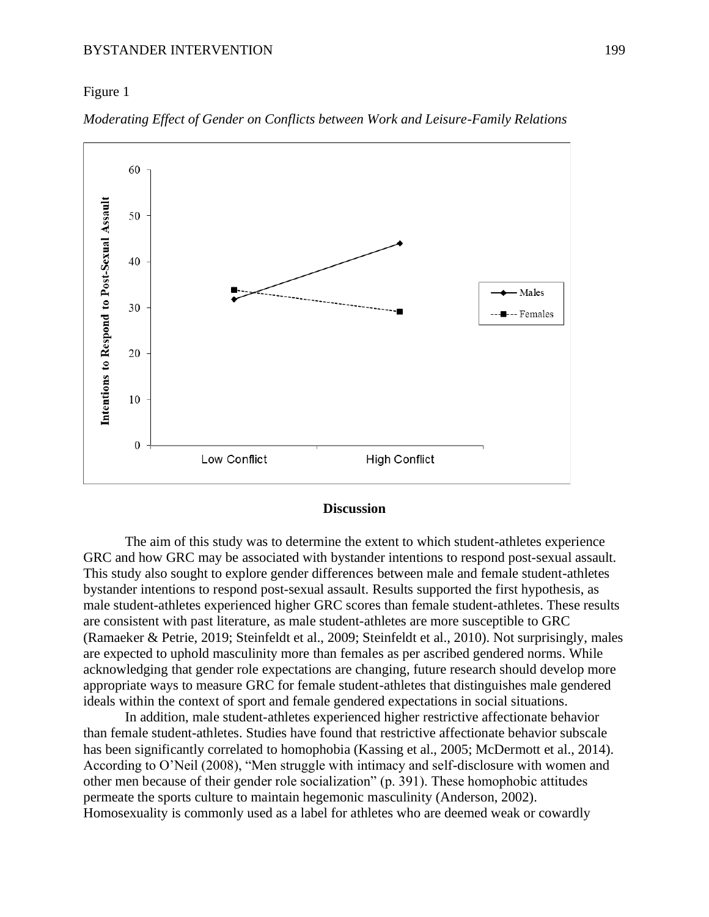## Figure 1



*Moderating Effect of Gender on Conflicts between Work and Leisure-Family Relations* 

## **Discussion**

The aim of this study was to determine the extent to which student-athletes experience GRC and how GRC may be associated with bystander intentions to respond post-sexual assault. This study also sought to explore gender differences between male and female student-athletes bystander intentions to respond post-sexual assault. Results supported the first hypothesis, as male student-athletes experienced higher GRC scores than female student-athletes. These results are consistent with past literature, as male student-athletes are more susceptible to GRC (Ramaeker & Petrie, 2019; Steinfeldt et al., 2009; Steinfeldt et al., 2010). Not surprisingly, males are expected to uphold masculinity more than females as per ascribed gendered norms. While acknowledging that gender role expectations are changing, future research should develop more appropriate ways to measure GRC for female student-athletes that distinguishes male gendered ideals within the context of sport and female gendered expectations in social situations.

In addition, male student-athletes experienced higher restrictive affectionate behavior than female student-athletes. Studies have found that restrictive affectionate behavior subscale has been significantly correlated to homophobia (Kassing et al., 2005; McDermott et al., 2014). According to O'Neil (2008), "Men struggle with intimacy and self-disclosure with women and other men because of their gender role socialization" (p. 391). These homophobic attitudes permeate the sports culture to maintain hegemonic masculinity (Anderson, 2002). Homosexuality is commonly used as a label for athletes who are deemed weak or cowardly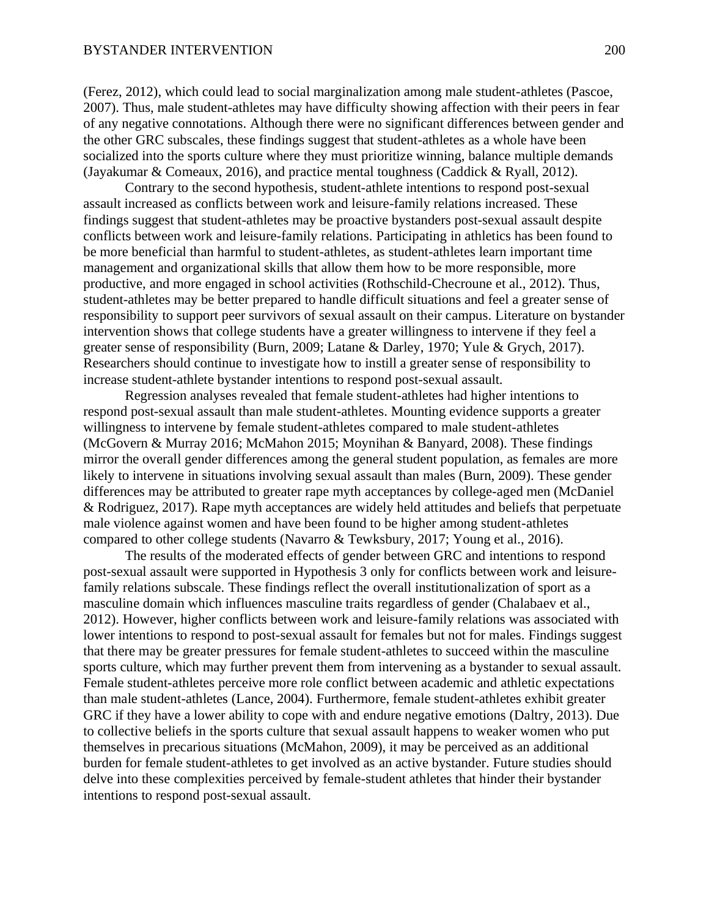(Ferez, 2012), which could lead to social marginalization among male student-athletes (Pascoe, 2007). Thus, male student-athletes may have difficulty showing affection with their peers in fear of any negative connotations. Although there were no significant differences between gender and the other GRC subscales, these findings suggest that student-athletes as a whole have been socialized into the sports culture where they must prioritize winning, balance multiple demands (Jayakumar & Comeaux, 2016), and practice mental toughness (Caddick & Ryall, 2012).

Contrary to the second hypothesis, student-athlete intentions to respond post-sexual assault increased as conflicts between work and leisure-family relations increased. These findings suggest that student-athletes may be proactive bystanders post-sexual assault despite conflicts between work and leisure-family relations. Participating in athletics has been found to be more beneficial than harmful to student-athletes, as student-athletes learn important time management and organizational skills that allow them how to be more responsible, more productive, and more engaged in school activities (Rothschild-Checroune et al., 2012). Thus, student-athletes may be better prepared to handle difficult situations and feel a greater sense of responsibility to support peer survivors of sexual assault on their campus. Literature on bystander intervention shows that college students have a greater willingness to intervene if they feel a greater sense of responsibility (Burn, 2009; Latane & Darley, 1970; Yule & Grych, 2017). Researchers should continue to investigate how to instill a greater sense of responsibility to increase student-athlete bystander intentions to respond post-sexual assault.

Regression analyses revealed that female student-athletes had higher intentions to respond post-sexual assault than male student-athletes. Mounting evidence supports a greater willingness to intervene by female student-athletes compared to male student-athletes (McGovern & Murray 2016; McMahon 2015; Moynihan & Banyard, 2008). These findings mirror the overall gender differences among the general student population, as females are more likely to intervene in situations involving sexual assault than males (Burn, 2009). These gender differences may be attributed to greater rape myth acceptances by college-aged men (McDaniel & Rodriguez, 2017). Rape myth acceptances are widely held attitudes and beliefs that perpetuate male violence against women and have been found to be higher among student-athletes compared to other college students (Navarro & Tewksbury, 2017; Young et al., 2016).

The results of the moderated effects of gender between GRC and intentions to respond post-sexual assault were supported in Hypothesis 3 only for conflicts between work and leisurefamily relations subscale. These findings reflect the overall institutionalization of sport as a masculine domain which influences masculine traits regardless of gender (Chalabaev et al., 2012). However, higher conflicts between work and leisure-family relations was associated with lower intentions to respond to post-sexual assault for females but not for males. Findings suggest that there may be greater pressures for female student-athletes to succeed within the masculine sports culture, which may further prevent them from intervening as a bystander to sexual assault. Female student-athletes perceive more role conflict between academic and athletic expectations than male student-athletes (Lance, 2004). Furthermore, female student-athletes exhibit greater GRC if they have a lower ability to cope with and endure negative emotions (Daltry, 2013). Due to collective beliefs in the sports culture that sexual assault happens to weaker women who put themselves in precarious situations (McMahon, 2009), it may be perceived as an additional burden for female student-athletes to get involved as an active bystander. Future studies should delve into these complexities perceived by female-student athletes that hinder their bystander intentions to respond post-sexual assault.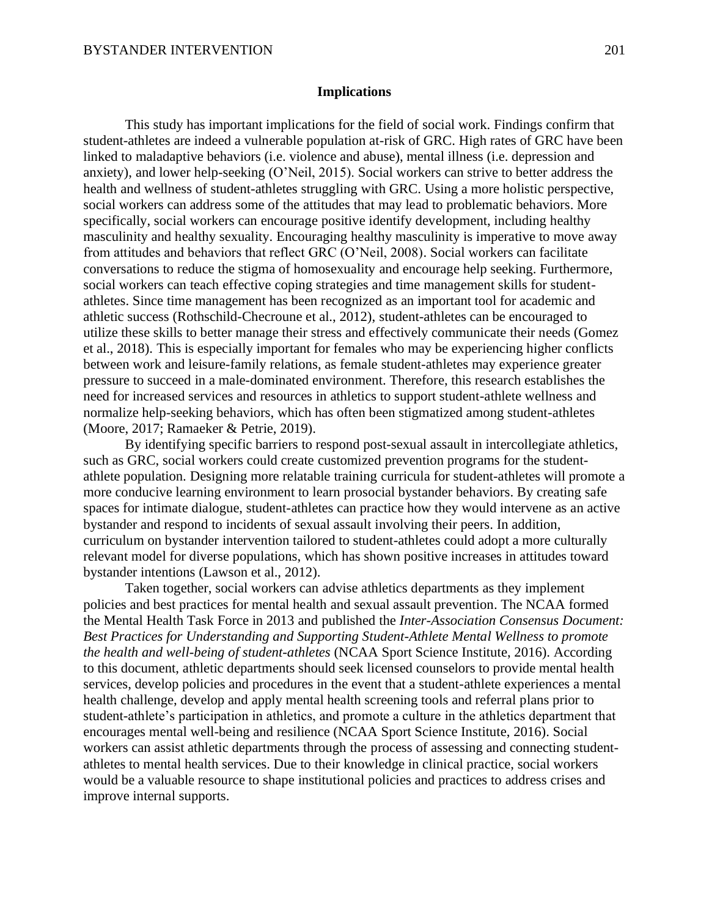#### **Implications**

This study has important implications for the field of social work. Findings confirm that student-athletes are indeed a vulnerable population at-risk of GRC. High rates of GRC have been linked to maladaptive behaviors (i.e. violence and abuse), mental illness (i.e. depression and anxiety), and lower help-seeking (O'Neil, 2015). Social workers can strive to better address the health and wellness of student-athletes struggling with GRC. Using a more holistic perspective, social workers can address some of the attitudes that may lead to problematic behaviors. More specifically, social workers can encourage positive identify development, including healthy masculinity and healthy sexuality. Encouraging healthy masculinity is imperative to move away from attitudes and behaviors that reflect GRC (O'Neil, 2008). Social workers can facilitate conversations to reduce the stigma of homosexuality and encourage help seeking. Furthermore, social workers can teach effective coping strategies and time management skills for studentathletes. Since time management has been recognized as an important tool for academic and athletic success (Rothschild-Checroune et al., 2012), student-athletes can be encouraged to utilize these skills to better manage their stress and effectively communicate their needs (Gomez et al., 2018). This is especially important for females who may be experiencing higher conflicts between work and leisure-family relations, as female student-athletes may experience greater pressure to succeed in a male-dominated environment. Therefore, this research establishes the need for increased services and resources in athletics to support student-athlete wellness and normalize help-seeking behaviors, which has often been stigmatized among student-athletes (Moore, 2017; Ramaeker & Petrie, 2019).

By identifying specific barriers to respond post-sexual assault in intercollegiate athletics, such as GRC, social workers could create customized prevention programs for the studentathlete population. Designing more relatable training curricula for student-athletes will promote a more conducive learning environment to learn prosocial bystander behaviors. By creating safe spaces for intimate dialogue, student-athletes can practice how they would intervene as an active bystander and respond to incidents of sexual assault involving their peers. In addition, curriculum on bystander intervention tailored to student-athletes could adopt a more culturally relevant model for diverse populations, which has shown positive increases in attitudes toward bystander intentions (Lawson et al., 2012).

Taken together, social workers can advise athletics departments as they implement policies and best practices for mental health and sexual assault prevention. The NCAA formed the Mental Health Task Force in 2013 and published the *Inter-Association Consensus Document: Best Practices for Understanding and Supporting Student-Athlete Mental Wellness to promote the health and well-being of student-athletes* (NCAA Sport Science Institute, 2016). According to this document, athletic departments should seek licensed counselors to provide mental health services, develop policies and procedures in the event that a student-athlete experiences a mental health challenge, develop and apply mental health screening tools and referral plans prior to student-athlete's participation in athletics, and promote a culture in the athletics department that encourages mental well-being and resilience (NCAA Sport Science Institute, 2016). Social workers can assist athletic departments through the process of assessing and connecting studentathletes to mental health services. Due to their knowledge in clinical practice, social workers would be a valuable resource to shape institutional policies and practices to address crises and improve internal supports.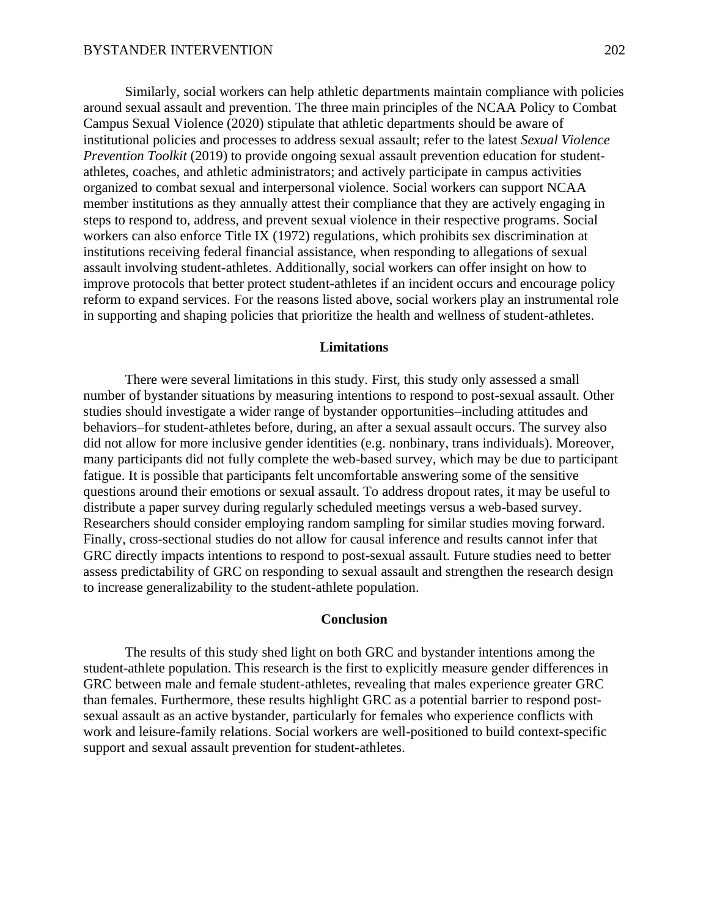Similarly, social workers can help athletic departments maintain compliance with policies around sexual assault and prevention. The three main principles of the NCAA Policy to Combat Campus Sexual Violence (2020) stipulate that athletic departments should be aware of institutional policies and processes to address sexual assault; refer to the latest *Sexual Violence Prevention Toolkit* (2019) to provide ongoing sexual assault prevention education for studentathletes, coaches, and athletic administrators; and actively participate in campus activities organized to combat sexual and interpersonal violence. Social workers can support NCAA member institutions as they annually attest their compliance that they are actively engaging in steps to respond to, address, and prevent sexual violence in their respective programs. Social workers can also enforce Title IX (1972) regulations, which prohibits sex discrimination at institutions receiving federal financial assistance, when responding to allegations of sexual assault involving student-athletes. Additionally, social workers can offer insight on how to improve protocols that better protect student-athletes if an incident occurs and encourage policy reform to expand services. For the reasons listed above, social workers play an instrumental role in supporting and shaping policies that prioritize the health and wellness of student-athletes.

#### **Limitations**

There were several limitations in this study. First, this study only assessed a small number of bystander situations by measuring intentions to respond to post-sexual assault. Other studies should investigate a wider range of bystander opportunities–including attitudes and behaviors–for student-athletes before, during, an after a sexual assault occurs. The survey also did not allow for more inclusive gender identities (e.g. nonbinary, trans individuals). Moreover, many participants did not fully complete the web-based survey, which may be due to participant fatigue. It is possible that participants felt uncomfortable answering some of the sensitive questions around their emotions or sexual assault. To address dropout rates, it may be useful to distribute a paper survey during regularly scheduled meetings versus a web-based survey. Researchers should consider employing random sampling for similar studies moving forward. Finally, cross-sectional studies do not allow for causal inference and results cannot infer that GRC directly impacts intentions to respond to post-sexual assault. Future studies need to better assess predictability of GRC on responding to sexual assault and strengthen the research design to increase generalizability to the student-athlete population.

# **Conclusion**

The results of this study shed light on both GRC and bystander intentions among the student-athlete population. This research is the first to explicitly measure gender differences in GRC between male and female student-athletes, revealing that males experience greater GRC than females. Furthermore, these results highlight GRC as a potential barrier to respond postsexual assault as an active bystander, particularly for females who experience conflicts with work and leisure-family relations. Social workers are well-positioned to build context-specific support and sexual assault prevention for student-athletes.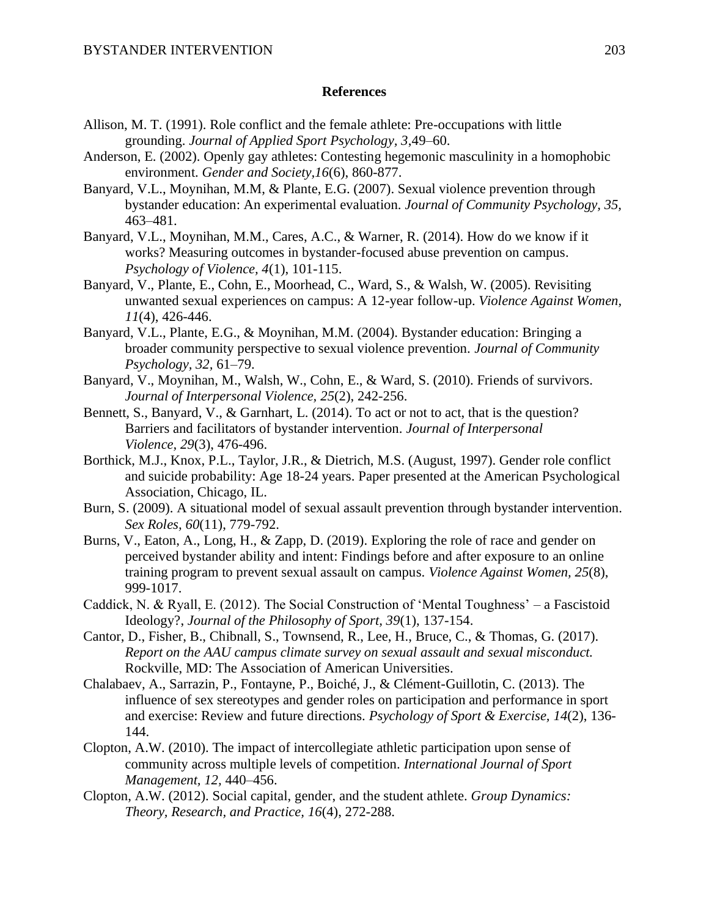## **References**

- Allison, M. T. (1991). Role conflict and the female athlete: Pre-occupations with little grounding. *Journal of Applied Sport Psychology, 3*,49–60.
- Anderson, E. (2002). Openly gay athletes: Contesting hegemonic masculinity in a homophobic environment. *Gender and Society,16*(6), 860-877.
- Banyard, V.L., Moynihan, M.M, & Plante, E.G. (2007). Sexual violence prevention through bystander education: An experimental evaluation. *Journal of Community Psychology, 35,* 463–481.
- Banyard, V.L., Moynihan, M.M., Cares, A.C., & Warner, R. (2014). How do we know if it works? Measuring outcomes in bystander-focused abuse prevention on campus. *Psychology of Violence, 4*(1), 101-115.
- Banyard, V., Plante, E., Cohn, E., Moorhead, C., Ward, S., & Walsh, W. (2005). Revisiting unwanted sexual experiences on campus: A 12-year follow-up. *Violence Against Women, 11*(4), 426-446.
- Banyard, V.L., Plante, E.G., & Moynihan, M.M. (2004). Bystander education: Bringing a broader community perspective to sexual violence prevention. *Journal of Community Psychology, 32,* 61–79.
- Banyard, V., Moynihan, M., Walsh, W., Cohn, E., & Ward, S. (2010). Friends of survivors. *Journal of Interpersonal Violence, 25*(2), 242-256.
- Bennett, S., Banyard, V., & Garnhart, L. (2014). To act or not to act, that is the question? Barriers and facilitators of bystander intervention. *Journal of Interpersonal Violence, 29*(3), 476-496.
- Borthick, M.J., Knox, P.L., Taylor, J.R., & Dietrich, M.S. (August, 1997). Gender role conflict and suicide probability: Age 18-24 years. Paper presented at the American Psychological Association, Chicago, IL.
- Burn, S. (2009). A situational model of sexual assault prevention through bystander intervention. *Sex Roles, 60*(11), 779-792.
- Burns, V., Eaton, A., Long, H., & Zapp, D. (2019). Exploring the role of race and gender on perceived bystander ability and intent: Findings before and after exposure to an online training program to prevent sexual assault on campus. *Violence Against Women, 25*(8), 999-1017.
- Caddick, N. & Ryall, E. (2012). The Social Construction of 'Mental Toughness' a Fascistoid Ideology?, *Journal of the Philosophy of Sport, 39*(1), 137-154.
- Cantor, D., Fisher, B., Chibnall, S., Townsend, R., Lee, H., Bruce, C., & Thomas, G. (2017). *Report on the AAU campus climate survey on sexual assault and sexual misconduct.* Rockville, MD: The Association of American Universities.
- Chalabaev, A., Sarrazin, P., Fontayne, P., Boiché, J., & Clément-Guillotin, C. (2013). The influence of sex stereotypes and gender roles on participation and performance in sport and exercise: Review and future directions. *Psychology of Sport & Exercise, 14*(2), 136- 144.
- Clopton, A.W. (2010). The impact of intercollegiate athletic participation upon sense of community across multiple levels of competition. *International Journal of Sport Management, 12,* 440–456.
- Clopton, A.W. (2012). Social capital, gender, and the student athlete. *Group Dynamics: Theory, Research, and Practice, 16*(4), 272-288.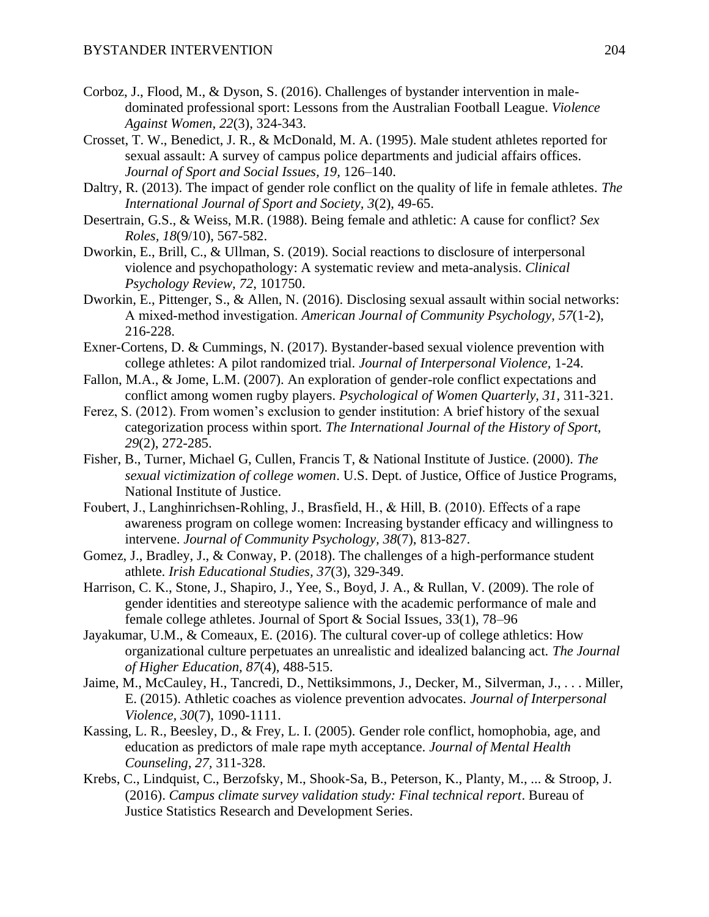- Corboz, J., Flood, M., & Dyson, S. (2016). Challenges of bystander intervention in maledominated professional sport: Lessons from the Australian Football League. *Violence Against Women, 22*(3), 324-343.
- Crosset, T. W., Benedict, J. R., & McDonald, M. A. (1995). Male student athletes reported for sexual assault: A survey of campus police departments and judicial affairs offices. *Journal of Sport and Social Issues, 19,* 126–140.
- Daltry, R. (2013). The impact of gender role conflict on the quality of life in female athletes. *The International Journal of Sport and Society, 3*(2), 49-65.
- Desertrain, G.S., & Weiss, M.R. (1988). Being female and athletic: A cause for conflict? *Sex Roles, 18*(9/10), 567-582.
- Dworkin, E., Brill, C., & Ullman, S. (2019). Social reactions to disclosure of interpersonal violence and psychopathology: A systematic review and meta-analysis. *Clinical Psychology Review, 72*, 101750.
- Dworkin, E., Pittenger, S., & Allen, N. (2016). Disclosing sexual assault within social networks: A mixed‐method investigation. *American Journal of Community Psychology, 57*(1-2), 216-228.
- Exner-Cortens, D. & Cummings, N. (2017). Bystander-based sexual violence prevention with college athletes: A pilot randomized trial. *Journal of Interpersonal Violence,* 1-24.
- Fallon, M.A., & Jome, L.M. (2007). An exploration of gender-role conflict expectations and conflict among women rugby players. *Psychological of Women Quarterly, 31,* 311-321.
- Ferez, S. (2012). From women's exclusion to gender institution: A brief history of the sexual categorization process within sport. *The International Journal of the History of Sport, 29*(2), 272-285.
- Fisher, B., Turner, Michael G, Cullen, Francis T, & National Institute of Justice. (2000). *The sexual victimization of college women*. U.S. Dept. of Justice, Office of Justice Programs, National Institute of Justice.
- Foubert, J., Langhinrichsen‐Rohling, J., Brasfield, H., & Hill, B. (2010). Effects of a rape awareness program on college women: Increasing bystander efficacy and willingness to intervene. *Journal of Community Psychology, 38*(7), 813-827.
- Gomez, J., Bradley, J., & Conway, P. (2018). The challenges of a high-performance student athlete. *Irish Educational Studies, 37*(3), 329-349.
- Harrison, C. K., Stone, J., Shapiro, J., Yee, S., Boyd, J. A., & Rullan, V. (2009). The role of gender identities and stereotype salience with the academic performance of male and female college athletes. Journal of Sport & Social Issues, 33(1), 78–96
- Jayakumar, U.M., & Comeaux, E. (2016). The cultural cover-up of college athletics: How organizational culture perpetuates an unrealistic and idealized balancing act. *The Journal of Higher Education, 87*(4), 488-515.
- Jaime, M., McCauley, H., Tancredi, D., Nettiksimmons, J., Decker, M., Silverman, J., . . . Miller, E. (2015). Athletic coaches as violence prevention advocates. *Journal of Interpersonal Violence, 30*(7), 1090-1111.
- Kassing, L. R., Beesley, D., & Frey, L. I. (2005). Gender role conflict, homophobia, age, and education as predictors of male rape myth acceptance. *Journal of Mental Health Counseling, 27,* 311-328.
- Krebs, C., Lindquist, C., Berzofsky, M., Shook-Sa, B., Peterson, K., Planty, M., ... & Stroop, J. (2016). *Campus climate survey validation study: Final technical report*. Bureau of Justice Statistics Research and Development Series.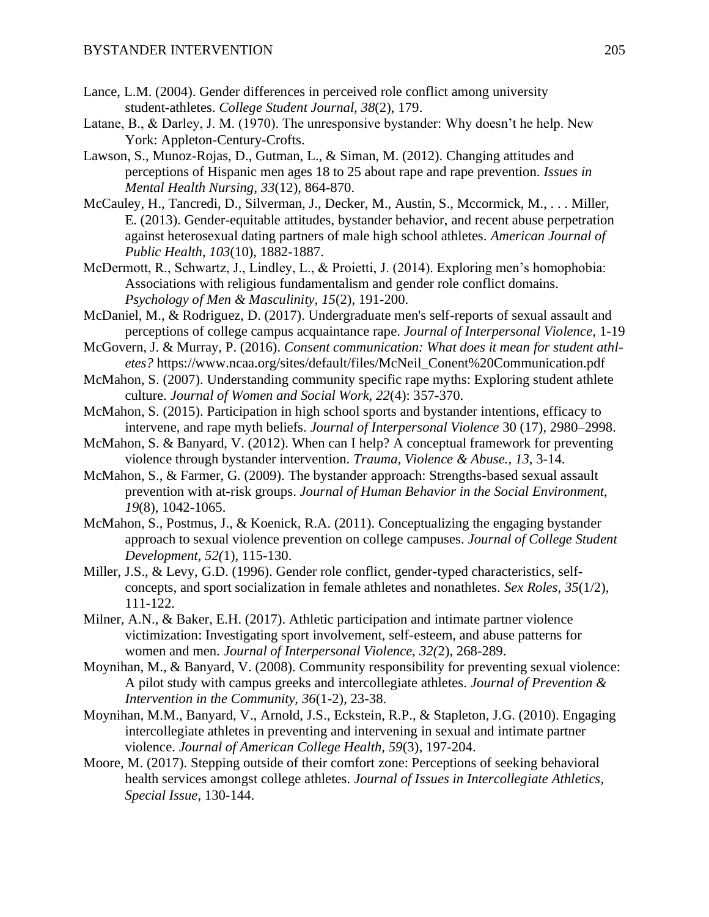- Lance, L.M. (2004). Gender differences in perceived role conflict among university student-athletes. *College Student Journal, 38*(2), 179.
- Latane, B., & Darley, J. M. (1970). The unresponsive bystander: Why doesn't he help. New York: Appleton-Century-Crofts.
- Lawson, S., Munoz-Rojas, D., Gutman, L., & Siman, M. (2012). Changing attitudes and perceptions of Hispanic men ages 18 to 25 about rape and rape prevention. *Issues in Mental Health Nursing, 33*(12), 864-870.
- McCauley, H., Tancredi, D., Silverman, J., Decker, M., Austin, S., Mccormick, M., . . . Miller, E. (2013). Gender-equitable attitudes, bystander behavior, and recent abuse perpetration against heterosexual dating partners of male high school athletes. *American Journal of Public Health, 103*(10), 1882-1887.
- McDermott, R., Schwartz, J., Lindley, L., & Proietti, J. (2014). Exploring men's homophobia: Associations with religious fundamentalism and gender role conflict domains. *Psychology of Men & Masculinity, 15*(2), 191-200.
- McDaniel, M., & Rodriguez, D. (2017). Undergraduate men's self-reports of sexual assault and perceptions of college campus acquaintance rape. *Journal of Interpersonal Violence,* 1-19
- McGovern, J. & Murray, P. (2016). *Consent communication: What does it mean for student athletes?* https://www.ncaa.org/sites/default/files/McNeil\_Conent%20Communication.pdf
- McMahon, S. (2007). Understanding community specific rape myths: Exploring student athlete culture. *Journal of Women and Social Work, 22*(4): 357-370.
- McMahon, S. (2015). Participation in high school sports and bystander intentions, efficacy to intervene, and rape myth beliefs. *Journal of Interpersonal Violence* 30 (17), 2980–2998.
- McMahon, S. & Banyard, V. (2012). When can I help? A conceptual framework for preventing violence through bystander intervention. *Trauma, Violence & Abuse., 13*, 3-14.
- McMahon, S., & Farmer, G. (2009). The bystander approach: Strengths-based sexual assault prevention with at-risk groups. *Journal of Human Behavior in the Social Environment, 19*(8), 1042-1065.
- McMahon, S., Postmus, J., & Koenick, R.A. (2011). Conceptualizing the engaging bystander approach to sexual violence prevention on college campuses. *Journal of College Student Development, 52(*1), 115-130.
- Miller, J.S., & Levy, G.D. (1996). Gender role conflict, gender-typed characteristics, selfconcepts, and sport socialization in female athletes and nonathletes. *Sex Roles, 35*(1/2), 111-122.
- Milner, A.N., & Baker, E.H. (2017). Athletic participation and intimate partner violence victimization: Investigating sport involvement, self-esteem, and abuse patterns for women and men. *Journal of Interpersonal Violence, 32(*2), 268-289.
- Moynihan, M., & Banyard, V. (2008). Community responsibility for preventing sexual violence: A pilot study with campus greeks and intercollegiate athletes. *Journal of Prevention & Intervention in the Community, 36*(1-2), 23-38.
- Moynihan, M.M., Banyard, V., Arnold, J.S., Eckstein, R.P., & Stapleton, J.G. (2010). Engaging intercollegiate athletes in preventing and intervening in sexual and intimate partner violence. *Journal of American College Health, 59*(3), 197-204.
- Moore, M. (2017). Stepping outside of their comfort zone: Perceptions of seeking behavioral health services amongst college athletes. *Journal of Issues in Intercollegiate Athletics, Special Issue*, 130-144.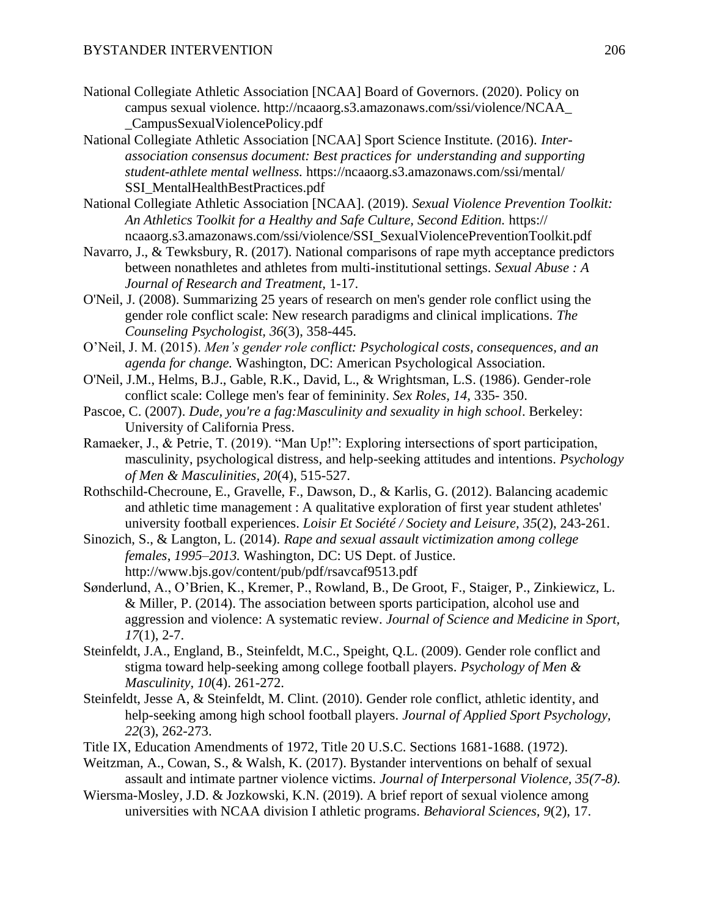- National Collegiate Athletic Association [NCAA] Board of Governors. (2020). Policy on campus sexual violence. http://ncaaorg.s3.amazonaws.com/ssi/violence/NCAA\_ \_CampusSexualViolencePolicy.pdf
- National Collegiate Athletic Association [NCAA] Sport Science Institute. (2016). *Interassociation consensus document: Best practices for understanding and supporting student-athlete mental wellness.* https://ncaaorg.s3.amazonaws.com/ssi/mental/ SSI\_MentalHealthBestPractices.pdf
- National Collegiate Athletic Association [NCAA]. (2019). *Sexual Violence Prevention Toolkit: An Athletics Toolkit for a Healthy and Safe Culture, Second Edition.* https:// ncaaorg.s3.amazonaws.com/ssi/violence/SSI\_SexualViolencePreventionToolkit.pdf
- Navarro, J., & Tewksbury, R. (2017). National comparisons of rape myth acceptance predictors between nonathletes and athletes from multi-institutional settings. *Sexual Abuse : A Journal of Research and Treatment,* 1-17.
- O'Neil, J. (2008). Summarizing 25 years of research on men's gender role conflict using the gender role conflict scale: New research paradigms and clinical implications. *The Counseling Psychologist, 36*(3), 358-445.
- O'Neil, J. M. (2015). *Men's gender role conflict: Psychological costs, consequences, and an agenda for change.* Washington, DC: American Psychological Association.
- O'Neil, J.M., Helms, B.J., Gable, R.K., David, L., & Wrightsman, L.S. (1986). Gender-role conflict scale: College men's fear of femininity. *Sex Roles, 14,* 335- 350.
- Pascoe, C. (2007). *Dude, you're a fag:Masculinity and sexuality in high school*. Berkeley: University of California Press.
- Ramaeker, J., & Petrie, T. (2019). "Man Up!": Exploring intersections of sport participation, masculinity, psychological distress, and help-seeking attitudes and intentions. *Psychology of Men & Masculinities, 20*(4), 515-527.
- Rothschild-Checroune, E., Gravelle, F., Dawson, D., & Karlis, G. (2012). Balancing academic and athletic time management : A qualitative exploration of first year student athletes' university football experiences. *Loisir Et Société / Society and Leisure, 35*(2), 243-261.
- Sinozich, S., & Langton, L. (2014). *Rape and sexual assault victimization among college females*, *1995–2013.* Washington, DC: US Dept. of Justice. http://www.bjs.gov/content/pub/pdf/rsavcaf9513.pdf
- Sønderlund, A., O'Brien, K., Kremer, P., Rowland, B., De Groot, F., Staiger, P., Zinkiewicz, L. & Miller, P. (2014). The association between sports participation, alcohol use and aggression and violence: A systematic review. *Journal of Science and Medicine in Sport, 17*(1), 2-7.
- Steinfeldt, J.A., England, B., Steinfeldt, M.C., Speight, Q.L. (2009). Gender role conflict and stigma toward help-seeking among college football players. *Psychology of Men & Masculinity, 10*(4). 261-272.
- Steinfeldt, Jesse A, & Steinfeldt, M. Clint. (2010). Gender role conflict, athletic identity, and help-seeking among high school football players. *Journal of Applied Sport Psychology, 22*(3), 262-273.
- Title IX, Education Amendments of 1972, Title 20 U.S.C. Sections 1681-1688. (1972).
- Weitzman, A., Cowan, S., & Walsh, K. (2017). Bystander interventions on behalf of sexual assault and intimate partner violence victims. *Journal of Interpersonal Violence, 35(7-8).*
- Wiersma-Mosley, J.D. & Jozkowski, K.N. (2019). A brief report of sexual violence among universities with NCAA division I athletic programs. *Behavioral Sciences, 9*(2), 17.